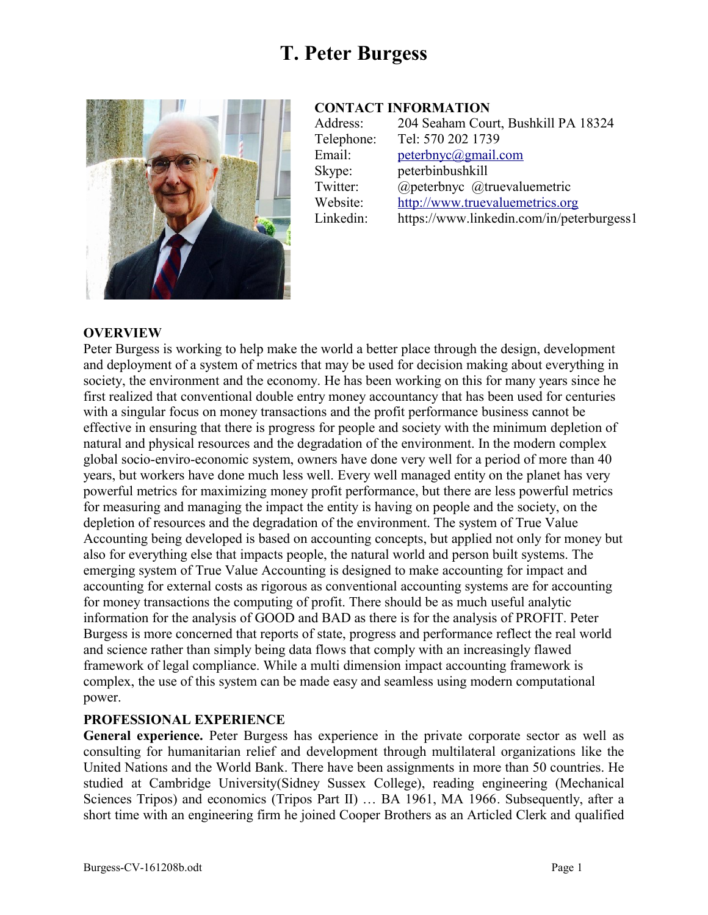

#### **CONTACT INFORMATION**

| Address:   | 204 Seaham Court, Bushkill PA 18324       |
|------------|-------------------------------------------|
| Telephone: | Tel: 570 202 1739                         |
| Email:     | peterbnyc@gmail.com                       |
| Skype:     | peterbinbushkill                          |
| Twitter:   | @peterbnyc @truevaluemetric               |
| Website:   | http://www.truevaluemetrics.org           |
| Linkedin:  | https://www.linkedin.com/in/peterburgess1 |
|            |                                           |

#### **OVERVIEW**

Peter Burgess is working to help make the world a better place through the design, development and deployment of a system of metrics that may be used for decision making about everything in society, the environment and the economy. He has been working on this for many years since he first realized that conventional double entry money accountancy that has been used for centuries with a singular focus on money transactions and the profit performance business cannot be effective in ensuring that there is progress for people and society with the minimum depletion of natural and physical resources and the degradation of the environment. In the modern complex global socio-enviro-economic system, owners have done very well for a period of more than 40 years, but workers have done much less well. Every well managed entity on the planet has very powerful metrics for maximizing money profit performance, but there are less powerful metrics for measuring and managing the impact the entity is having on people and the society, on the depletion of resources and the degradation of the environment. The system of True Value Accounting being developed is based on accounting concepts, but applied not only for money but also for everything else that impacts people, the natural world and person built systems. The emerging system of True Value Accounting is designed to make accounting for impact and accounting for external costs as rigorous as conventional accounting systems are for accounting for money transactions the computing of profit. There should be as much useful analytic information for the analysis of GOOD and BAD as there is for the analysis of PROFIT. Peter Burgess is more concerned that reports of state, progress and performance reflect the real world and science rather than simply being data flows that comply with an increasingly flawed framework of legal compliance. While a multi dimension impact accounting framework is complex, the use of this system can be made easy and seamless using modern computational power.

#### **PROFESSIONAL EXPERIENCE**

**General experience.** Peter Burgess has experience in the private corporate sector as well as consulting for humanitarian relief and development through multilateral organizations like the United Nations and the World Bank. There have been assignments in more than 50 countries. He studied at Cambridge University(Sidney Sussex College), reading engineering (Mechanical Sciences Tripos) and economics (Tripos Part II) ... BA 1961, MA 1966. Subsequently, after a short time with an engineering firm he joined Cooper Brothers as an Articled Clerk and qualified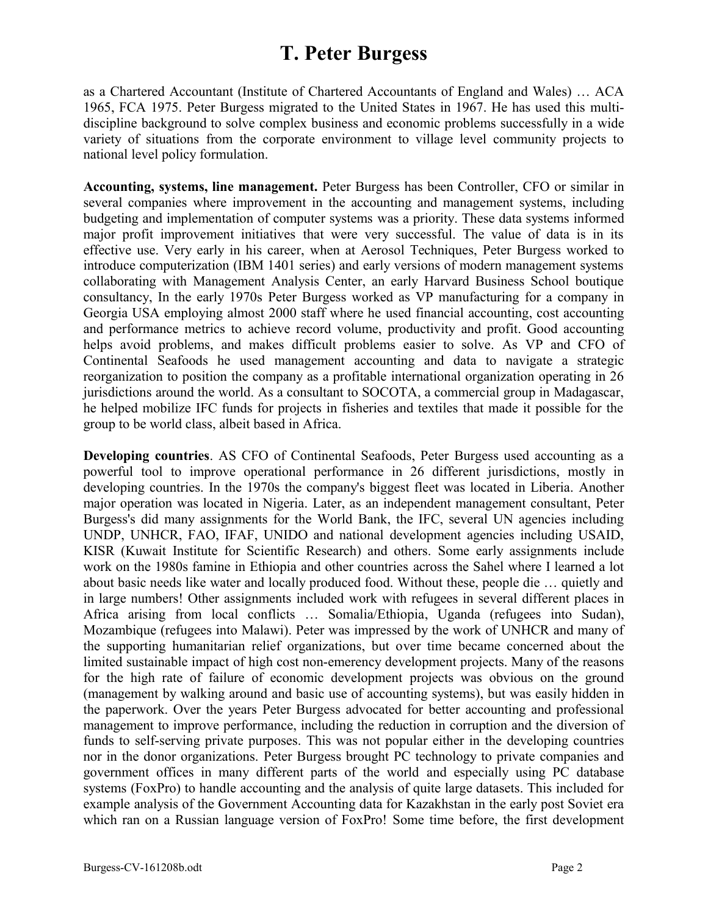as a Chartered Accountant (Institute of Chartered Accountants of England and Wales) … ACA 1965, FCA 1975. Peter Burgess migrated to the United States in 1967. He has used this multidiscipline background to solve complex business and economic problems successfully in a wide variety of situations from the corporate environment to village level community projects to national level policy formulation.

**Accounting, systems, line management.** Peter Burgess has been Controller, CFO or similar in several companies where improvement in the accounting and management systems, including budgeting and implementation of computer systems was a priority. These data systems informed major profit improvement initiatives that were very successful. The value of data is in its effective use. Very early in his career, when at Aerosol Techniques, Peter Burgess worked to introduce computerization (IBM 1401 series) and early versions of modern management systems collaborating with Management Analysis Center, an early Harvard Business School boutique consultancy, In the early 1970s Peter Burgess worked as VP manufacturing for a company in Georgia USA employing almost 2000 staff where he used financial accounting, cost accounting and performance metrics to achieve record volume, productivity and profit. Good accounting helps avoid problems, and makes difficult problems easier to solve. As VP and CFO of Continental Seafoods he used management accounting and data to navigate a strategic reorganization to position the company as a profitable international organization operating in 26 jurisdictions around the world. As a consultant to SOCOTA, a commercial group in Madagascar, he helped mobilize IFC funds for projects in fisheries and textiles that made it possible for the group to be world class, albeit based in Africa.

**Developing countries**. AS CFO of Continental Seafoods, Peter Burgess used accounting as a powerful tool to improve operational performance in 26 different jurisdictions, mostly in developing countries. In the 1970s the company's biggest fleet was located in Liberia. Another major operation was located in Nigeria. Later, as an independent management consultant, Peter Burgess's did many assignments for the World Bank, the IFC, several UN agencies including UNDP, UNHCR, FAO, IFAF, UNIDO and national development agencies including USAID, KISR (Kuwait Institute for Scientific Research) and others. Some early assignments include work on the 1980s famine in Ethiopia and other countries across the Sahel where I learned a lot about basic needs like water and locally produced food. Without these, people die … quietly and in large numbers! Other assignments included work with refugees in several different places in Africa arising from local conflicts … Somalia/Ethiopia, Uganda (refugees into Sudan), Mozambique (refugees into Malawi). Peter was impressed by the work of UNHCR and many of the supporting humanitarian relief organizations, but over time became concerned about the limited sustainable impact of high cost non-emerency development projects. Many of the reasons for the high rate of failure of economic development projects was obvious on the ground (management by walking around and basic use of accounting systems), but was easily hidden in the paperwork. Over the years Peter Burgess advocated for better accounting and professional management to improve performance, including the reduction in corruption and the diversion of funds to self-serving private purposes. This was not popular either in the developing countries nor in the donor organizations. Peter Burgess brought PC technology to private companies and government offices in many different parts of the world and especially using PC database systems (FoxPro) to handle accounting and the analysis of quite large datasets. This included for example analysis of the Government Accounting data for Kazakhstan in the early post Soviet era which ran on a Russian language version of FoxPro! Some time before, the first development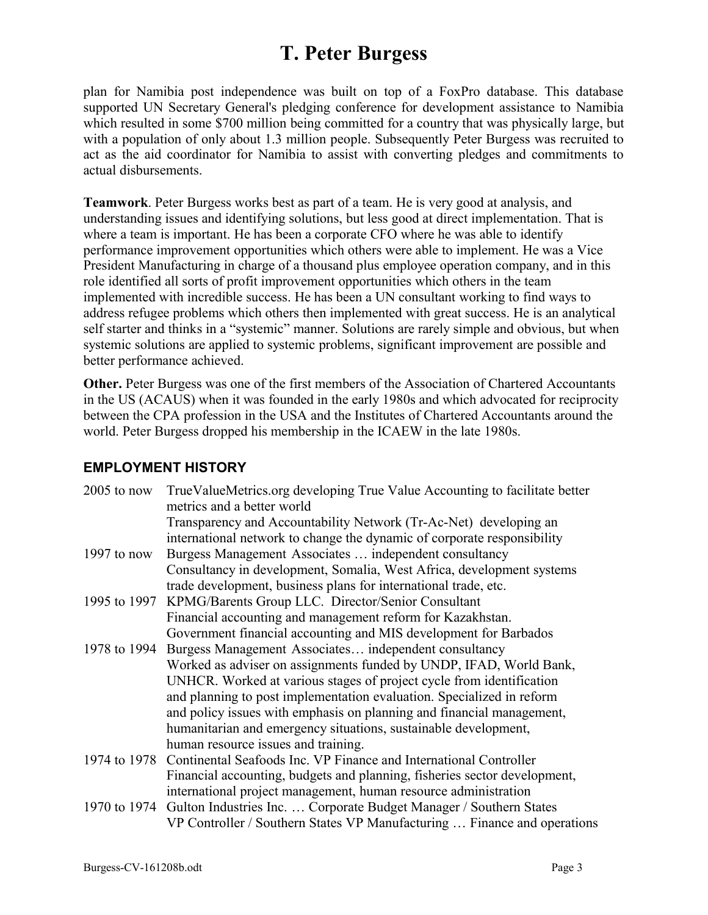plan for Namibia post independence was built on top of a FoxPro database. This database supported UN Secretary General's pledging conference for development assistance to Namibia which resulted in some \$700 million being committed for a country that was physically large, but with a population of only about 1.3 million people. Subsequently Peter Burgess was recruited to act as the aid coordinator for Namibia to assist with converting pledges and commitments to actual disbursements.

**Teamwork**. Peter Burgess works best as part of a team. He is very good at analysis, and understanding issues and identifying solutions, but less good at direct implementation. That is where a team is important. He has been a corporate CFO where he was able to identify performance improvement opportunities which others were able to implement. He was a Vice President Manufacturing in charge of a thousand plus employee operation company, and in this role identified all sorts of profit improvement opportunities which others in the team implemented with incredible success. He has been a UN consultant working to find ways to address refugee problems which others then implemented with great success. He is an analytical self starter and thinks in a "systemic" manner. Solutions are rarely simple and obvious, but when systemic solutions are applied to systemic problems, significant improvement are possible and better performance achieved.

**Other.** Peter Burgess was one of the first members of the Association of Chartered Accountants in the US (ACAUS) when it was founded in the early 1980s and which advocated for reciprocity between the CPA profession in the USA and the Institutes of Chartered Accountants around the world. Peter Burgess dropped his membership in the ICAEW in the late 1980s.

#### **EMPLOYMENT HISTORY**

| $2005$ to now | TrueValueMetrics.org developing True Value Accounting to facilitate better<br>metrics and a better world |
|---------------|----------------------------------------------------------------------------------------------------------|
|               | Transparency and Accountability Network (Tr-Ac-Net) developing an                                        |
|               | international network to change the dynamic of corporate responsibility                                  |
| 1997 to now   | Burgess Management Associates  independent consultancy                                                   |
|               | Consultancy in development, Somalia, West Africa, development systems                                    |
|               | trade development, business plans for international trade, etc.                                          |
| 1995 to 1997  | KPMG/Barents Group LLC. Director/Senior Consultant                                                       |
|               | Financial accounting and management reform for Kazakhstan.                                               |
|               | Government financial accounting and MIS development for Barbados                                         |
| 1978 to 1994  | Burgess Management Associates independent consultancy                                                    |
|               | Worked as adviser on assignments funded by UNDP, IFAD, World Bank,                                       |
|               | UNHCR. Worked at various stages of project cycle from identification                                     |
|               | and planning to post implementation evaluation. Specialized in reform                                    |
|               | and policy issues with emphasis on planning and financial management,                                    |
|               | humanitarian and emergency situations, sustainable development,                                          |
|               | human resource issues and training.                                                                      |
|               | 1974 to 1978 Continental Seafoods Inc. VP Finance and International Controller                           |
|               | Financial accounting, budgets and planning, fisheries sector development,                                |
|               | international project management, human resource administration                                          |
|               | 1970 to 1974 Gulton Industries Inc.  Corporate Budget Manager / Southern States                          |
|               | VP Controller / Southern States VP Manufacturing  Finance and operations                                 |